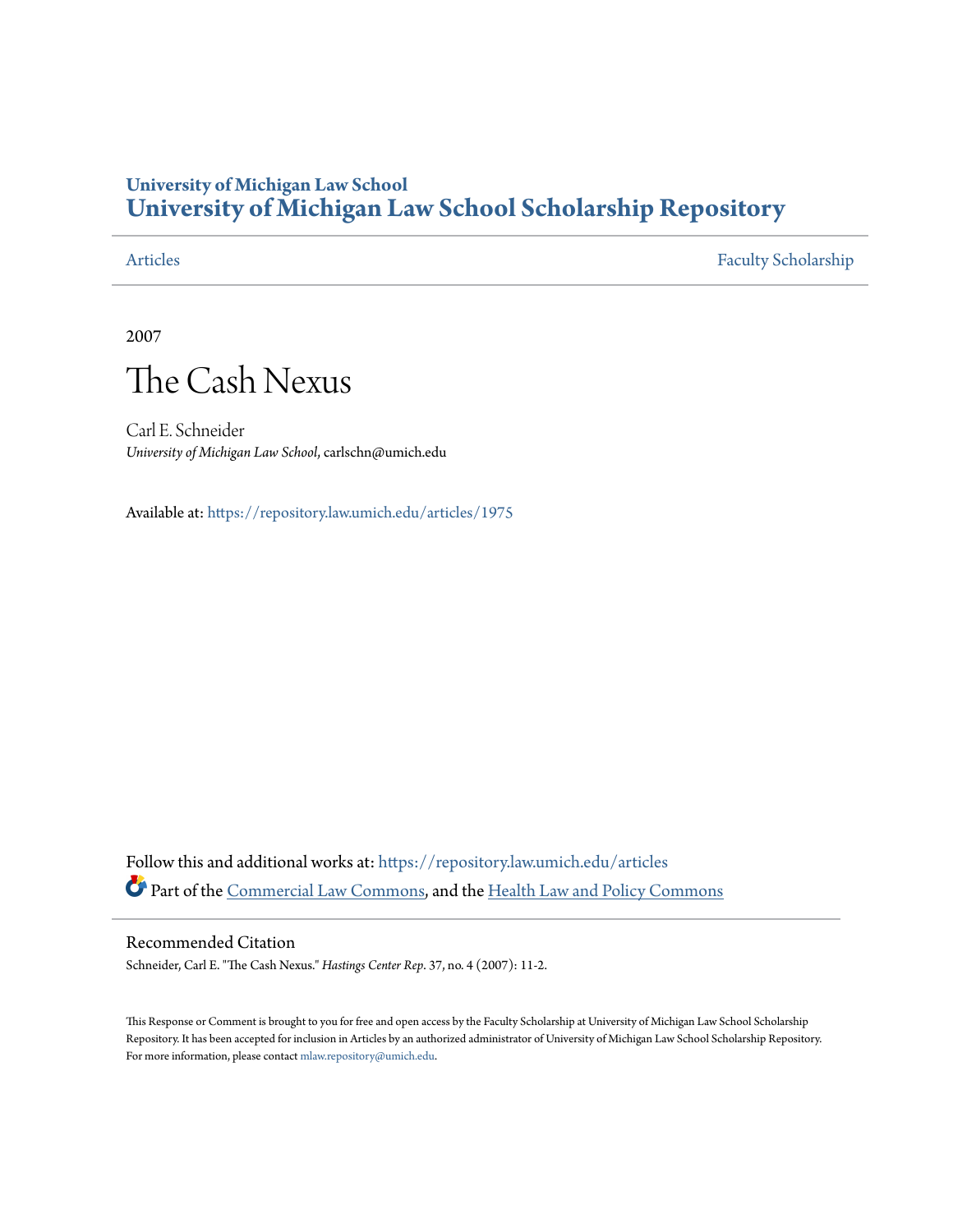### **University of Michigan Law School [University of Michigan Law School Scholarship Repository](https://repository.law.umich.edu?utm_source=repository.law.umich.edu%2Farticles%2F1975&utm_medium=PDF&utm_campaign=PDFCoverPages)**

[Articles](https://repository.law.umich.edu/articles?utm_source=repository.law.umich.edu%2Farticles%2F1975&utm_medium=PDF&utm_campaign=PDFCoverPages) [Faculty Scholarship](https://repository.law.umich.edu/faculty_scholarship?utm_source=repository.law.umich.edu%2Farticles%2F1975&utm_medium=PDF&utm_campaign=PDFCoverPages)

2007



Carl E. Schneider *University of Michigan Law School*, carlschn@umich.edu

Available at: <https://repository.law.umich.edu/articles/1975>

Follow this and additional works at: [https://repository.law.umich.edu/articles](https://repository.law.umich.edu/articles?utm_source=repository.law.umich.edu%2Farticles%2F1975&utm_medium=PDF&utm_campaign=PDFCoverPages) Part of the [Commercial Law Commons](http://network.bepress.com/hgg/discipline/586?utm_source=repository.law.umich.edu%2Farticles%2F1975&utm_medium=PDF&utm_campaign=PDFCoverPages), and the [Health Law and Policy Commons](http://network.bepress.com/hgg/discipline/901?utm_source=repository.law.umich.edu%2Farticles%2F1975&utm_medium=PDF&utm_campaign=PDFCoverPages)

### Recommended Citation

Schneider, Carl E. "The Cash Nexus." *Hastings Center Rep*. 37, no. 4 (2007): 11-2.

This Response or Comment is brought to you for free and open access by the Faculty Scholarship at University of Michigan Law School Scholarship Repository. It has been accepted for inclusion in Articles by an authorized administrator of University of Michigan Law School Scholarship Repository. For more information, please contact [mlaw.repository@umich.edu](mailto:mlaw.repository@umich.edu).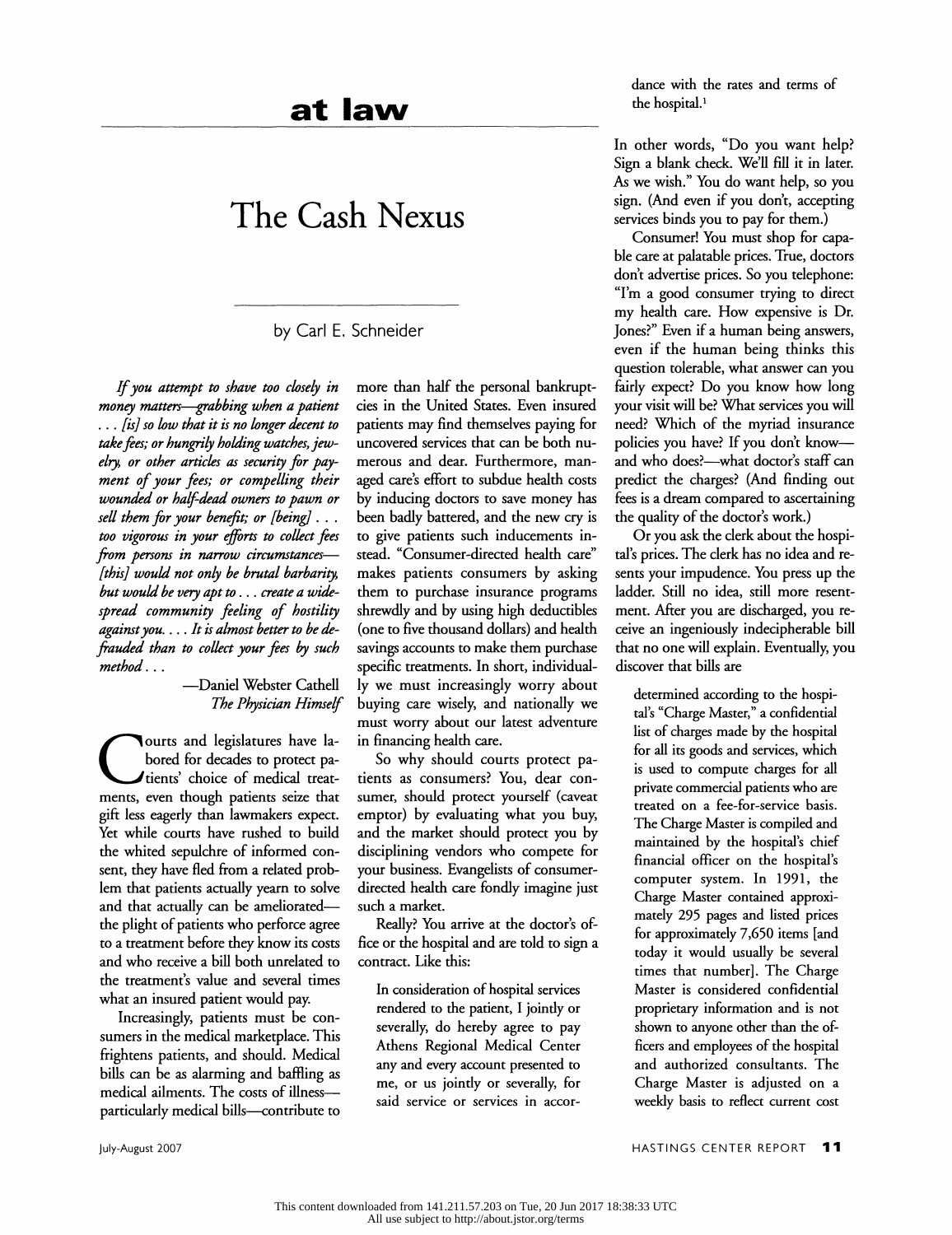## **at lavv**

# **The Cash Nexus**

by Carl E. Schneider

If *you attempt to shave too closely in money matters--grabbing when a patient*  ... *[is] so low that it is no longer decent to take fees; or hungrily holding watches, jewelry, or other articles as security for payment of your fees; or compelling their wounded or half-dead owners to pawn or sell them for your benefit; or [being}* . . . *too vigorous in your efforts to collect fees*  from persons in narrow circumstances-*[this] would not only be brutal barbarity, but would be very apt to* ... *create a widespread community feeling of hostility against you .* ... *It is almost better to be defrauded than to collect your fees* by *such method ...* 

### -Daniel Webster Cathell *The Physician Himself*

ourts and legislatures have labored for decades to protect patients' choice of medical treatments, even though patients seize that gift less eagerly than lawmakers expect. Yet while courts have rushed to build the whited sepulchre of informed consent, they have fled from a related problem that patients actually yearn to solve and that actually can be amelioratedthe plight of patients who perforce agree to a treatment before they know its costs and who receive a bill both unrelated to the treatment's value and several times what an insured patient would pay.

Increasingly, patients must be consumers in the medical marketplace. This frightens patients, and should. Medical bills can be as alarming and baffling as medical ailments. The costs of illnessparticularly medical bills-contribute to

more than half the personal bankruptcies in the United States. Even insured patients may find themselves paying for uncovered services that can be both numerous and dear. Furthermore, managed care's effort to subdue health costs by inducing doctors to save money has been badly battered, and the new cry is to give patients such inducements instead. "Consumer-directed health care" makes patients consumers by asking them to purchase insurance programs shrewdly and by using high deductibles (one to five thousand dollars) and health savings accounts to make them purchase specific treatments. In short, individually we must increasingly worry about buying care wisely, and nationally we must worry about our latest adventure in financing health care.

So why should courts protect patients as consumers? You, dear consumer, should protect yourself (caveat emptor) by evaluating what you buy, and the market should protect you by disciplining vendors who compete for your business. Evangelists of consumerdirected health care fondly imagine just such a market.

Really? You arrive at the doctor's office or the hospital and are told to sign a contract. Like this:

In consideration of hospital services rendered to the patient, I jointly or severally, do hereby agree to pay Athens Regional Medical Center any and every account presented to me, or us jointly or severally, for said service or services in accordance with the rates and terms of the hospital.<sup>1</sup>

In other words, "Do you want help? Sign a blank check. We'll fill it in later. As we wish." You do want help, so you sign. (And even if you don't, accepting services binds you to pay for them.)

Consumer! You must shop for capable care at palatable prices. True, doctors don't advertise prices. So you telephone: "I'm a good consumer trying to direct my health care. How expensive is Dr. Jones?" Even if a human being answers, even if the human being thinks this question tolerable, what answer can you fairly expect? Do you know how long your visit will be? What services you will need? Which of the myriad insurance policies you have? If you don't knowand who does?--what doctor's staff can predict the charges? (And finding out fees is a dream compared to ascertaining the quality of the doctor's work.)

Or you ask the clerk about the hospital's prices. The clerk has no idea and resents your impudence. You press up the ladder. Still no idea, still more resentment. After you are discharged, you receive an ingeniously indecipherable bill that no one will explain. Eventually, you discover that bills are

determined according to the hospital's "Charge Master," a confidential list of charges made by the hospital for all its goods and services, which is used to compute charges for all private commercial patients who are treated on a fee-for-service basis. The Charge Master is compiled and maintained by the hospital's chief financial officer on the hospital's computer system. In 1991, the Charge Master contained approximately 295 pages and listed prices for approximately 7,650 items [and today it would usually be several times that number]. The Charge Master is considered confidential proprietary information and is not shown to anyone other than the officers and employees of the hospital and authorized consultants. The Charge Master is adjusted on a weekly basis to reflect current cost